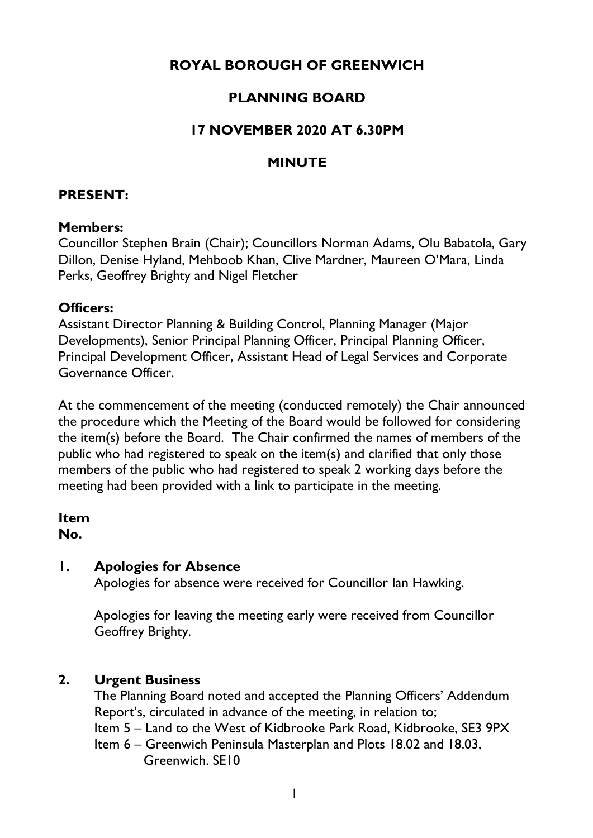# **ROYAL BOROUGH OF GREENWICH**

## **PLANNING BOARD**

## **17 NOVEMBER 2020 AT 6.30PM**

### **MINUTE**

### **PRESENT:**

#### **Members:**

Councillor Stephen Brain (Chair); Councillors Norman Adams, Olu Babatola, Gary Dillon, Denise Hyland, Mehboob Khan, Clive Mardner, Maureen O'Mara, Linda Perks, Geoffrey Brighty and Nigel Fletcher

#### **Officers:**

Assistant Director Planning & Building Control, Planning Manager (Major Developments), Senior Principal Planning Officer, Principal Planning Officer, Principal Development Officer, Assistant Head of Legal Services and Corporate Governance Officer.

At the commencement of the meeting (conducted remotely) the Chair announced the procedure which the Meeting of the Board would be followed for considering the item(s) before the Board. The Chair confirmed the names of members of the public who had registered to speak on the item(s) and clarified that only those members of the public who had registered to speak 2 working days before the meeting had been provided with a link to participate in the meeting.

#### **Item**

**No.** 

### **1. Apologies for Absence**

Apologies for absence were received for Councillor Ian Hawking.

Apologies for leaving the meeting early were received from Councillor Geoffrey Brighty.

### **2. Urgent Business**

The Planning Board noted and accepted the Planning Officers' Addendum Report's, circulated in advance of the meeting, in relation to; Item 5 – Land to the West of Kidbrooke Park Road, Kidbrooke, SE3 9PX Item 6 – Greenwich Peninsula Masterplan and Plots 18.02 and 18.03,

Greenwich. SE10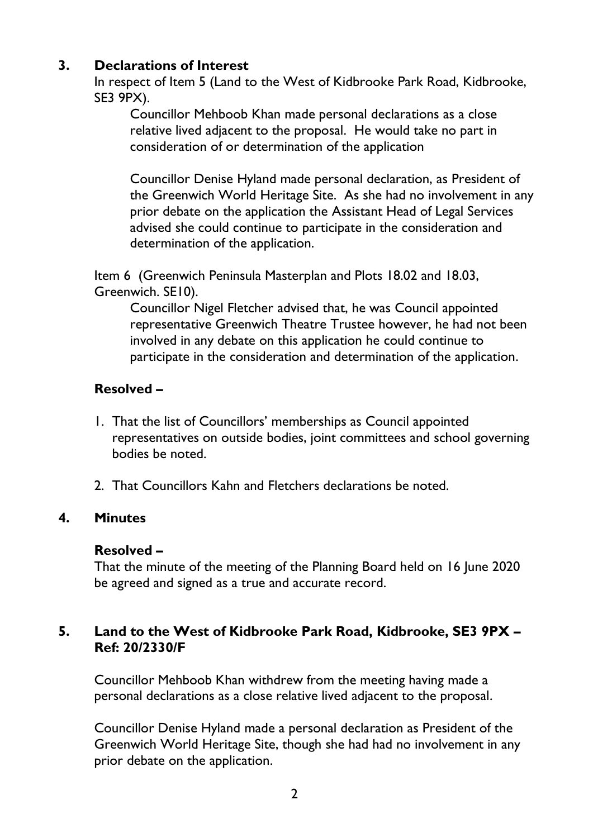## **3. Declarations of Interest**

In respect of Item 5 (Land to the West of Kidbrooke Park Road, Kidbrooke, SE3 9PX).

Councillor Mehboob Khan made personal declarations as a close relative lived adjacent to the proposal. He would take no part in consideration of or determination of the application

Councillor Denise Hyland made personal declaration, as President of the Greenwich World Heritage Site. As she had no involvement in any prior debate on the application the Assistant Head of Legal Services advised she could continue to participate in the consideration and determination of the application.

Item 6 (Greenwich Peninsula Masterplan and Plots 18.02 and 18.03, Greenwich. SE10).

Councillor Nigel Fletcher advised that, he was Council appointed representative Greenwich Theatre Trustee however, he had not been involved in any debate on this application he could continue to participate in the consideration and determination of the application.

### **Resolved –**

- 1. That the list of Councillors' memberships as Council appointed representatives on outside bodies, joint committees and school governing bodies be noted.
- 2. That Councillors Kahn and Fletchers declarations be noted.

#### **4. Minutes**

#### **Resolved –**

That the minute of the meeting of the Planning Board held on 16 June 2020 be agreed and signed as a true and accurate record.

### **5. Land to the West of Kidbrooke Park Road, Kidbrooke, SE3 9PX – Ref: 20/2330/F**

Councillor Mehboob Khan withdrew from the meeting having made a personal declarations as a close relative lived adjacent to the proposal.

Councillor Denise Hyland made a personal declaration as President of the Greenwich World Heritage Site, though she had had no involvement in any prior debate on the application.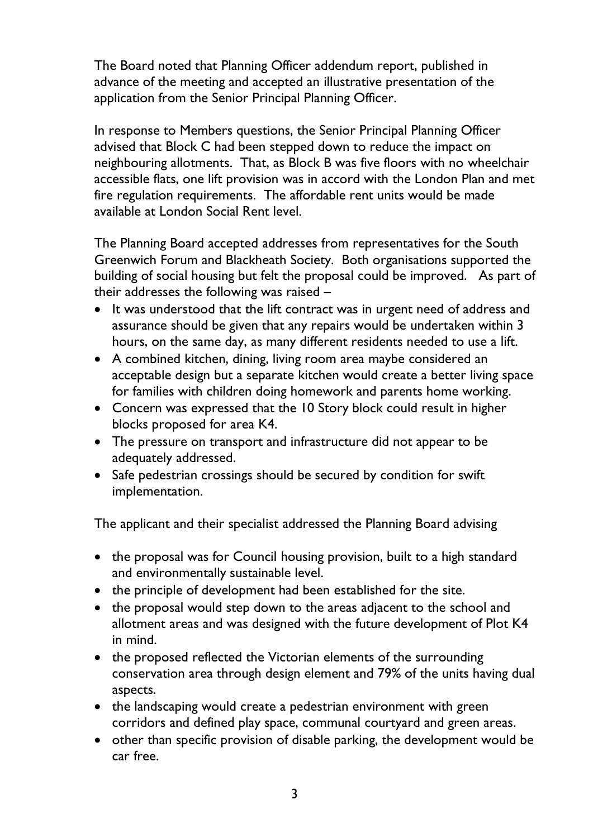The Board noted that Planning Officer addendum report, published in advance of the meeting and accepted an illustrative presentation of the application from the Senior Principal Planning Officer.

In response to Members questions, the Senior Principal Planning Officer advised that Block C had been stepped down to reduce the impact on neighbouring allotments. That, as Block B was five floors with no wheelchair accessible flats, one lift provision was in accord with the London Plan and met fire regulation requirements. The affordable rent units would be made available at London Social Rent level.

The Planning Board accepted addresses from representatives for the South Greenwich Forum and Blackheath Society. Both organisations supported the building of social housing but felt the proposal could be improved. As part of their addresses the following was raised –

- It was understood that the lift contract was in urgent need of address and assurance should be given that any repairs would be undertaken within 3 hours, on the same day, as many different residents needed to use a lift.
- A combined kitchen, dining, living room area maybe considered an acceptable design but a separate kitchen would create a better living space for families with children doing homework and parents home working.
- Concern was expressed that the 10 Story block could result in higher blocks proposed for area K4.
- The pressure on transport and infrastructure did not appear to be adequately addressed.
- Safe pedestrian crossings should be secured by condition for swift implementation.

The applicant and their specialist addressed the Planning Board advising

- the proposal was for Council housing provision, built to a high standard and environmentally sustainable level.
- the principle of development had been established for the site.
- the proposal would step down to the areas adjacent to the school and allotment areas and was designed with the future development of Plot K4 in mind.
- the proposed reflected the Victorian elements of the surrounding conservation area through design element and 79% of the units having dual aspects.
- the landscaping would create a pedestrian environment with green corridors and defined play space, communal courtyard and green areas.
- other than specific provision of disable parking, the development would be car free.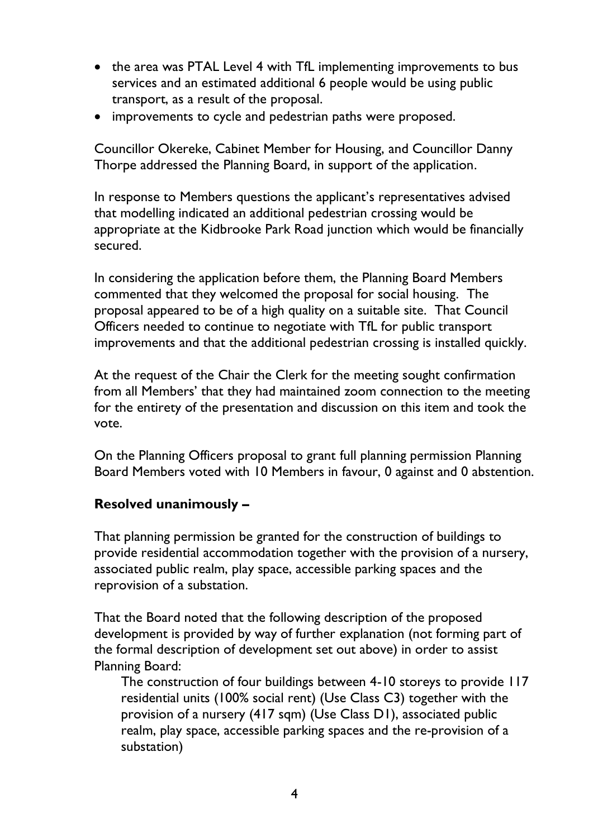- the area was PTAL Level 4 with TfL implementing improvements to bus services and an estimated additional 6 people would be using public transport, as a result of the proposal.
- improvements to cycle and pedestrian paths were proposed.

Councillor Okereke, Cabinet Member for Housing, and Councillor Danny Thorpe addressed the Planning Board, in support of the application.

In response to Members questions the applicant's representatives advised that modelling indicated an additional pedestrian crossing would be appropriate at the Kidbrooke Park Road junction which would be financially secured.

In considering the application before them, the Planning Board Members commented that they welcomed the proposal for social housing. The proposal appeared to be of a high quality on a suitable site. That Council Officers needed to continue to negotiate with TfL for public transport improvements and that the additional pedestrian crossing is installed quickly.

At the request of the Chair the Clerk for the meeting sought confirmation from all Members' that they had maintained zoom connection to the meeting for the entirety of the presentation and discussion on this item and took the vote.

On the Planning Officers proposal to grant full planning permission Planning Board Members voted with 10 Members in favour, 0 against and 0 abstention.

### **Resolved unanimously –**

That planning permission be granted for the construction of buildings to provide residential accommodation together with the provision of a nursery, associated public realm, play space, accessible parking spaces and the reprovision of a substation.

That the Board noted that the following description of the proposed development is provided by way of further explanation (not forming part of the formal description of development set out above) in order to assist Planning Board:

The construction of four buildings between 4-10 storeys to provide 117 residential units (100% social rent) (Use Class C3) together with the provision of a nursery (417 sqm) (Use Class D1), associated public realm, play space, accessible parking spaces and the re-provision of a substation)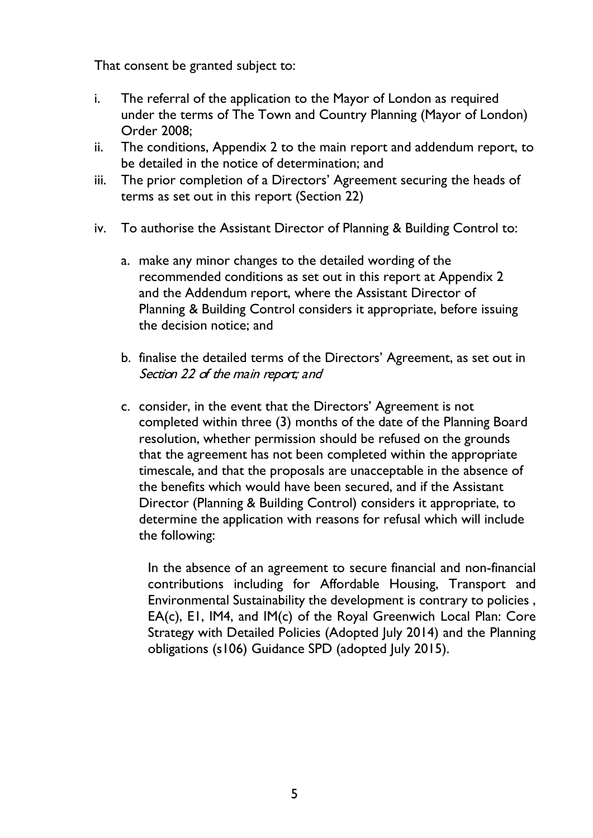That consent be granted subject to:

- i. The referral of the application to the Mayor of London as required under the terms of The Town and Country Planning (Mayor of London) Order 2008;
- ii. The conditions, Appendix 2 to the main report and addendum report, to be detailed in the notice of determination; and
- iii. The prior completion of a Directors' Agreement securing the heads of terms as set out in this report (Section 22)
- iv. To authorise the Assistant Director of Planning & Building Control to:
	- a. make any minor changes to the detailed wording of the recommended conditions as set out in this report at Appendix 2 and the Addendum report, where the Assistant Director of Planning & Building Control considers it appropriate, before issuing the decision notice; and
	- b. finalise the detailed terms of the Directors' Agreement, as set out in Section 22 of the main report; and
	- c. consider, in the event that the Directors' Agreement is not completed within three (3) months of the date of the Planning Board resolution, whether permission should be refused on the grounds that the agreement has not been completed within the appropriate timescale, and that the proposals are unacceptable in the absence of the benefits which would have been secured, and if the Assistant Director (Planning & Building Control) considers it appropriate, to determine the application with reasons for refusal which will include the following:

In the absence of an agreement to secure financial and non-financial contributions including for Affordable Housing, Transport and Environmental Sustainability the development is contrary to policies , EA(c), E1, IM4, and IM(c) of the Royal Greenwich Local Plan: Core Strategy with Detailed Policies (Adopted July 2014) and the Planning obligations (s106) Guidance SPD (adopted July 2015).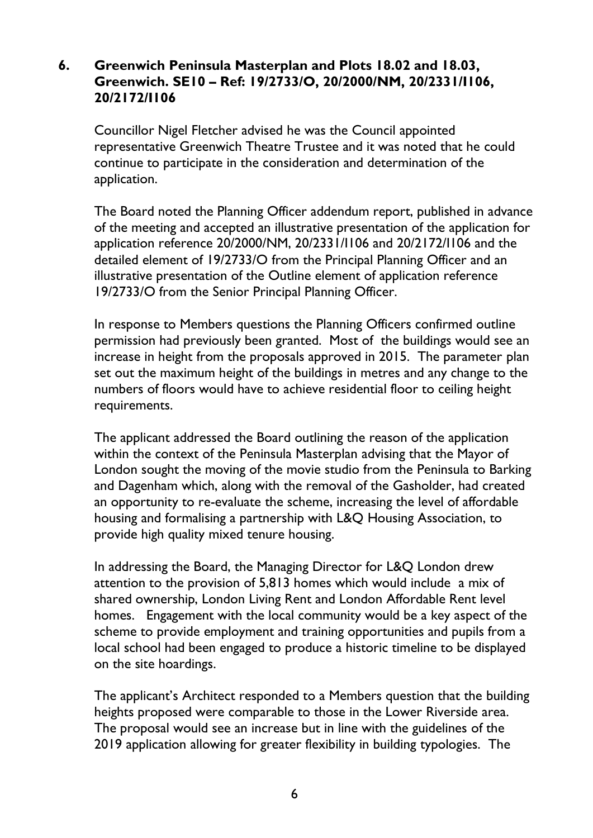### **6. Greenwich Peninsula Masterplan and Plots 18.02 and 18.03, Greenwich. SE10 – Ref: 19/2733/O, 20/2000/NM, 20/2331/I106, 20/2172/I106**

Councillor Nigel Fletcher advised he was the Council appointed representative Greenwich Theatre Trustee and it was noted that he could continue to participate in the consideration and determination of the application.

The Board noted the Planning Officer addendum report, published in advance of the meeting and accepted an illustrative presentation of the application for application reference 20/2000/NM, 20/2331/I106 and 20/2172/I106 and the detailed element of 19/2733/O from the Principal Planning Officer and an illustrative presentation of the Outline element of application reference 19/2733/O from the Senior Principal Planning Officer.

In response to Members questions the Planning Officers confirmed outline permission had previously been granted. Most of the buildings would see an increase in height from the proposals approved in 2015. The parameter plan set out the maximum height of the buildings in metres and any change to the numbers of floors would have to achieve residential floor to ceiling height requirements.

The applicant addressed the Board outlining the reason of the application within the context of the Peninsula Masterplan advising that the Mayor of London sought the moving of the movie studio from the Peninsula to Barking and Dagenham which, along with the removal of the Gasholder, had created an opportunity to re-evaluate the scheme, increasing the level of affordable housing and formalising a partnership with L&Q Housing Association, to provide high quality mixed tenure housing.

In addressing the Board, the Managing Director for L&Q London drew attention to the provision of 5,813 homes which would include a mix of shared ownership, London Living Rent and London Affordable Rent level homes. Engagement with the local community would be a key aspect of the scheme to provide employment and training opportunities and pupils from a local school had been engaged to produce a historic timeline to be displayed on the site hoardings.

The applicant's Architect responded to a Members question that the building heights proposed were comparable to those in the Lower Riverside area. The proposal would see an increase but in line with the guidelines of the 2019 application allowing for greater flexibility in building typologies. The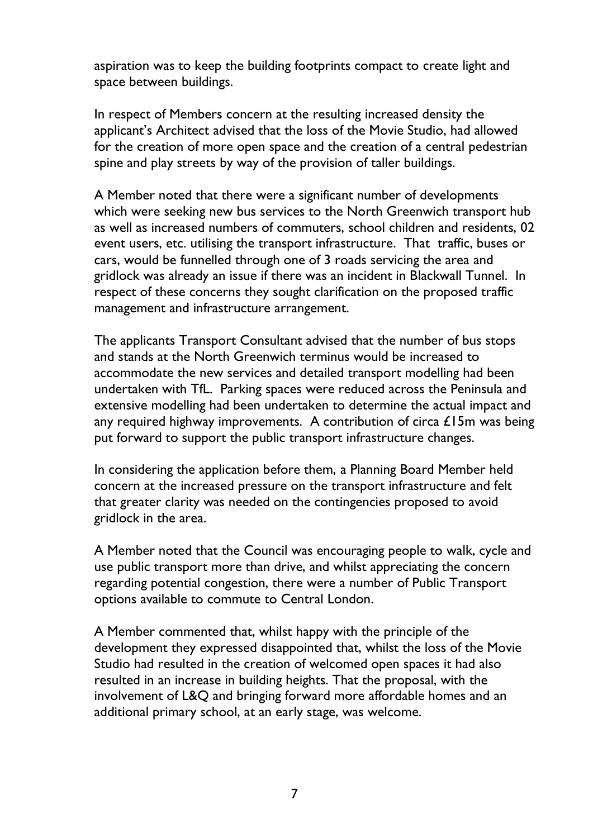aspiration was to keep the building footprints compact to create light and space between buildings.

In respect of Members concern at the resulting increased density the applicant's Architect advised that the loss of the Movie Studio, had allowed for the creation of more open space and the creation of a central pedestrian spine and play streets by way of the provision of taller buildings.

A Member noted that there were a significant number of developments which were seeking new bus services to the North Greenwich transport hub as well as increased numbers of commuters, school children and residents, 02 event users, etc. utilising the transport infrastructure. That traffic, buses or cars, would be funnelled through one of 3 roads servicing the area and gridlock was already an issue if there was an incident in Blackwall Tunnel. In respect of these concerns they sought clarification on the proposed traffic management and infrastructure arrangement.

The applicants Transport Consultant advised that the number of bus stops and stands at the North Greenwich terminus would be increased to accommodate the new services and detailed transport modelling had been undertaken with TfL. Parking spaces were reduced across the Peninsula and extensive modelling had been undertaken to determine the actual impact and any required highway improvements. A contribution of circa  $E15m$  was being put forward to support the public transport infrastructure changes.

In considering the application before them, a Planning Board Member held concern at the increased pressure on the transport infrastructure and felt that greater clarity was needed on the contingencies proposed to avoid gridlock in the area.

A Member noted that the Council was encouraging people to walk, cycle and use public transport more than drive, and whilst appreciating the concern regarding potential congestion, there were a number of Public Transport options available to commute to Central London.

A Member commented that, whilst happy with the principle of the development they expressed disappointed that, whilst the loss of the Movie Studio had resulted in the creation of welcomed open spaces it had also resulted in an increase in building heights. That the proposal, with the involvement of L&Q and bringing forward more affordable homes and an additional primary school, at an early stage, was welcome.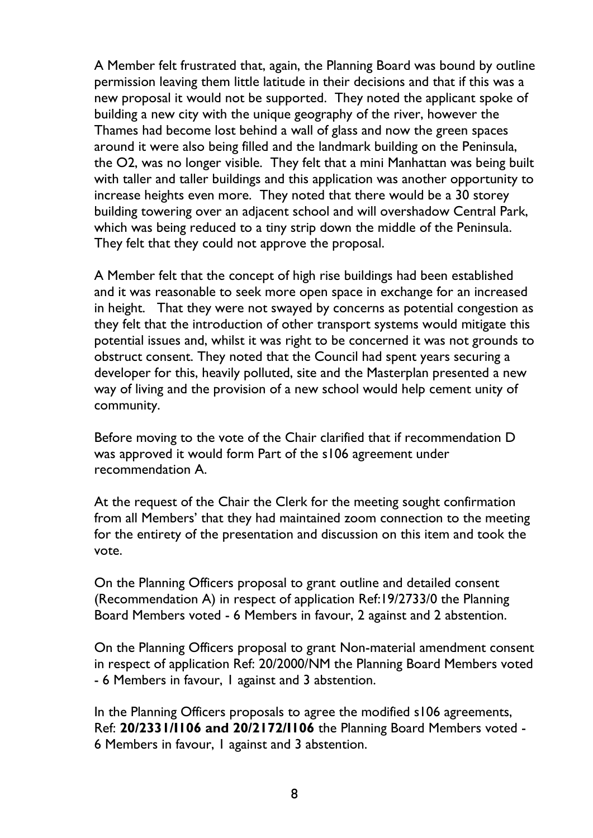A Member felt frustrated that, again, the Planning Board was bound by outline permission leaving them little latitude in their decisions and that if this was a new proposal it would not be supported. They noted the applicant spoke of building a new city with the unique geography of the river, however the Thames had become lost behind a wall of glass and now the green spaces around it were also being filled and the landmark building on the Peninsula, the O2, was no longer visible. They felt that a mini Manhattan was being built with taller and taller buildings and this application was another opportunity to increase heights even more. They noted that there would be a 30 storey building towering over an adjacent school and will overshadow Central Park, which was being reduced to a tiny strip down the middle of the Peninsula. They felt that they could not approve the proposal.

A Member felt that the concept of high rise buildings had been established and it was reasonable to seek more open space in exchange for an increased in height. That they were not swayed by concerns as potential congestion as they felt that the introduction of other transport systems would mitigate this potential issues and, whilst it was right to be concerned it was not grounds to obstruct consent. They noted that the Council had spent years securing a developer for this, heavily polluted, site and the Masterplan presented a new way of living and the provision of a new school would help cement unity of community.

Before moving to the vote of the Chair clarified that if recommendation D was approved it would form Part of the s106 agreement under recommendation A.

At the request of the Chair the Clerk for the meeting sought confirmation from all Members' that they had maintained zoom connection to the meeting for the entirety of the presentation and discussion on this item and took the vote.

On the Planning Officers proposal to grant outline and detailed consent (Recommendation A) in respect of application Ref:19/2733/0 the Planning Board Members voted - 6 Members in favour, 2 against and 2 abstention.

On the Planning Officers proposal to grant Non-material amendment consent in respect of application Ref: 20/2000/NM the Planning Board Members voted - 6 Members in favour, 1 against and 3 abstention.

In the Planning Officers proposals to agree the modified s106 agreements, Ref: **20/2331/I106 and 20/2172/I106** the Planning Board Members voted - 6 Members in favour, 1 against and 3 abstention.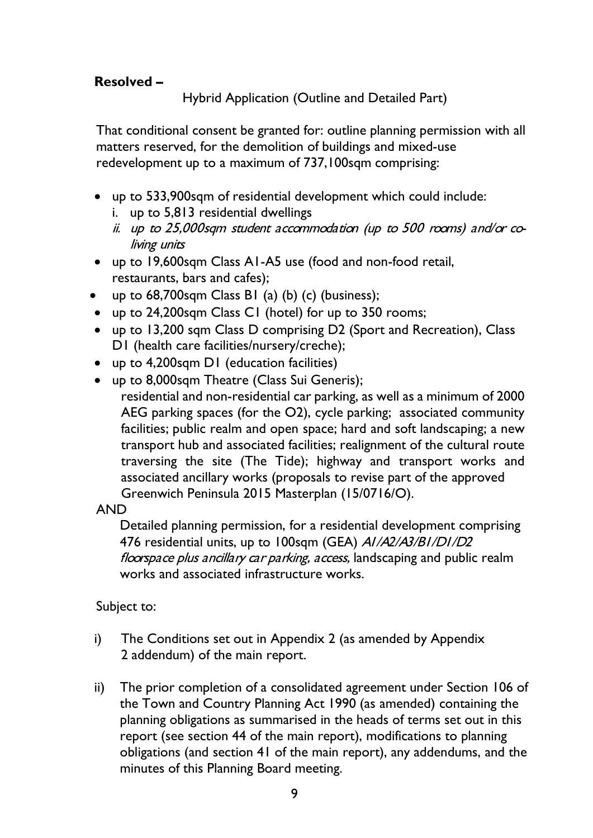## **Resolved –**

Hybrid Application (Outline and Detailed Part)

That conditional consent be granted for: outline planning permission with all matters reserved, for the demolition of buildings and mixed-use redevelopment up to a maximum of 737,100sqm comprising:

- up to 533,900sqm of residential development which could include:
	- i. up to 5,813 residential dwellings
	- ii. up to 25,000sqm student accommodation (up to 500 rooms) and/or coliving units
- up to 19,600sqm Class A1-A5 use (food and non-food retail, restaurants, bars and cafes);
- up to  $68,700$ sqm Class B1 (a) (b) (c) (business);
- up to 24,200sqm Class C1 (hotel) for up to 350 rooms;
- up to 13,200 sqm Class D comprising D2 (Sport and Recreation), Class D1 (health care facilities/nursery/creche);
- up to 4,200sqm D1 (education facilities)
- up to 8,000sqm Theatre (Class Sui Generis);

residential and non-residential car parking, as well as a minimum of 2000 AEG parking spaces (for the O2), cycle parking; associated community facilities; public realm and open space; hard and soft landscaping; a new transport hub and associated facilities; realignment of the cultural route traversing the site (The Tide); highway and transport works and associated ancillary works (proposals to revise part of the approved Greenwich Peninsula 2015 Masterplan (15/0716/O).

#### AND

Detailed planning permission, for a residential development comprising 476 residential units, up to 100sqm (GEA) AI/A2/A3/BI/DI/D2 floorspace plus ancillary car parking, access, landscaping and public realm works and associated infrastructure works.

Subject to:

- i) The Conditions set out in Appendix 2 (as amended by Appendix 2 addendum) of the main report.
- ii) The prior completion of a consolidated agreement under Section 106 of the Town and Country Planning Act 1990 (as amended) containing the planning obligations as summarised in the heads of terms set out in this report (see section 44 of the main report), modifications to planning obligations (and section 41 of the main report), any addendums, and the minutes of this Planning Board meeting.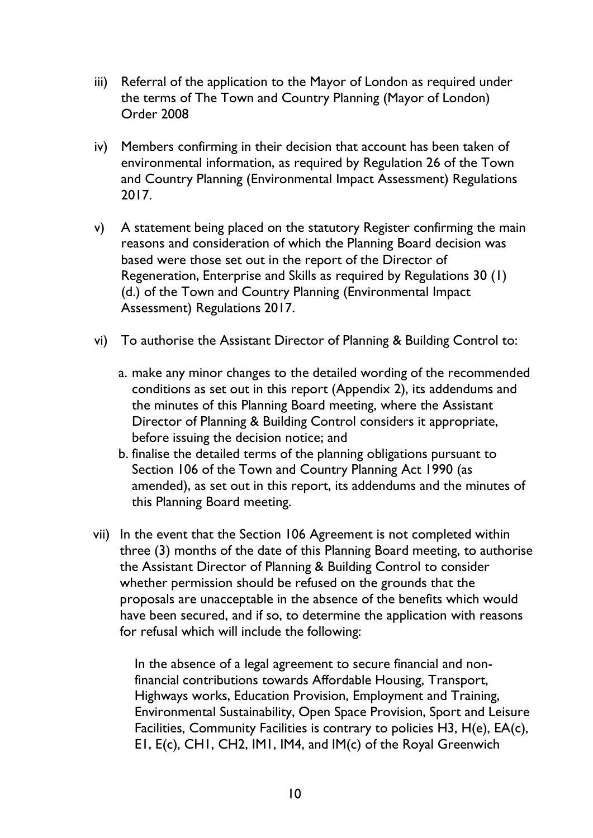- iii) Referral of the application to the Mayor of London as required under the terms of The Town and Country Planning (Mayor of London) Order 2008
- iv) Members confirming in their decision that account has been taken of environmental information, as required by Regulation 26 of the Town and Country Planning (Environmental Impact Assessment) Regulations 2017.
- v) A statement being placed on the statutory Register confirming the main reasons and consideration of which the Planning Board decision was based were those set out in the report of the Director of Regeneration, Enterprise and Skills as required by Regulations 30 (1) (d.) of the Town and Country Planning (Environmental Impact Assessment) Regulations 2017.
- vi) To authorise the Assistant Director of Planning & Building Control to:
	- a. make any minor changes to the detailed wording of the recommended conditions as set out in this report (Appendix 2), its addendums and the minutes of this Planning Board meeting, where the Assistant Director of Planning & Building Control considers it appropriate, before issuing the decision notice; and
	- b. finalise the detailed terms of the planning obligations pursuant to Section 106 of the Town and Country Planning Act 1990 (as amended), as set out in this report, its addendums and the minutes of this Planning Board meeting.
- vii) In the event that the Section 106 Agreement is not completed within three (3) months of the date of this Planning Board meeting, to authorise the Assistant Director of Planning & Building Control to consider whether permission should be refused on the grounds that the proposals are unacceptable in the absence of the benefits which would have been secured, and if so, to determine the application with reasons for refusal which will include the following:

In the absence of a legal agreement to secure financial and nonfinancial contributions towards Affordable Housing, Transport, Highways works, Education Provision, Employment and Training, Environmental Sustainability, Open Space Provision, Sport and Leisure Facilities, Community Facilities is contrary to policies H3, H(e), EA(c), E1, E(c), CH1, CH2, IM1, IM4, and IM(c) of the Royal Greenwich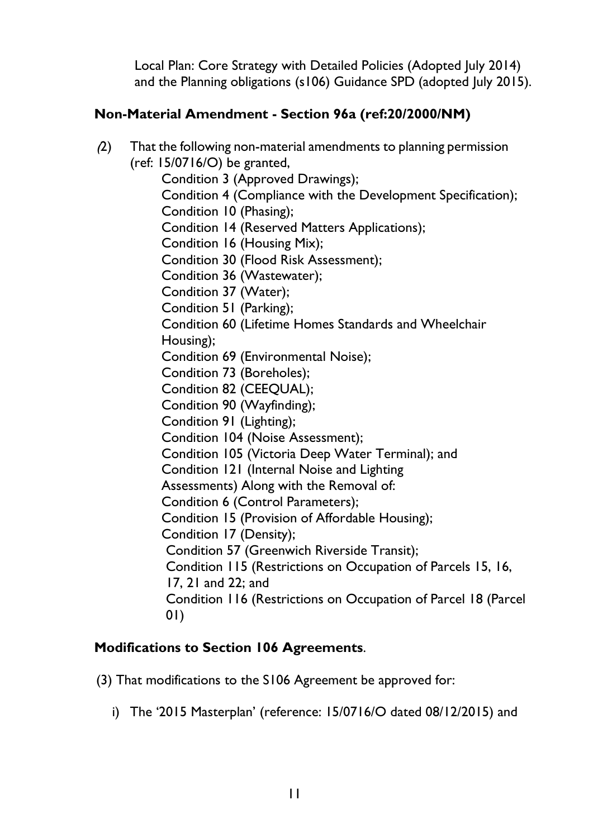Local Plan: Core Strategy with Detailed Policies (Adopted July 2014) and the Planning obligations (s106) Guidance SPD (adopted July 2015).

## **Non-Material Amendment - Section 96a (ref:20/2000/NM)**

(2) That the following non-material amendments to planning permission (ref: 15/0716/O) be granted,

Condition 3 (Approved Drawings);

Condition 4 (Compliance with the Development Specification);

Condition 10 (Phasing);

Condition 14 (Reserved Matters Applications);

Condition 16 (Housing Mix);

Condition 30 (Flood Risk Assessment);

Condition 36 (Wastewater);

Condition 37 (Water);

Condition 51 (Parking);

Condition 60 (Lifetime Homes Standards and Wheelchair Housing);

Condition 69 (Environmental Noise);

Condition 73 (Boreholes);

Condition 82 (CEEQUAL);

Condition 90 (Wayfinding);

Condition 91 (Lighting);

Condition 104 (Noise Assessment);

Condition 105 (Victoria Deep Water Terminal); and

Condition 121 (Internal Noise and Lighting

Assessments) Along with the Removal of:

Condition 6 (Control Parameters);

Condition 15 (Provision of Affordable Housing);

Condition 17 (Density);

Condition 57 (Greenwich Riverside Transit);

Condition 115 (Restrictions on Occupation of Parcels 15, 16,

17, 21 and 22; and

Condition 116 (Restrictions on Occupation of Parcel 18 (Parcel 01)

#### **Modifications to Section 106 Agreements**.

(3) That modifications to the S106 Agreement be approved for:

i) The '2015 Masterplan' (reference: 15/0716/O dated 08/12/2015) and